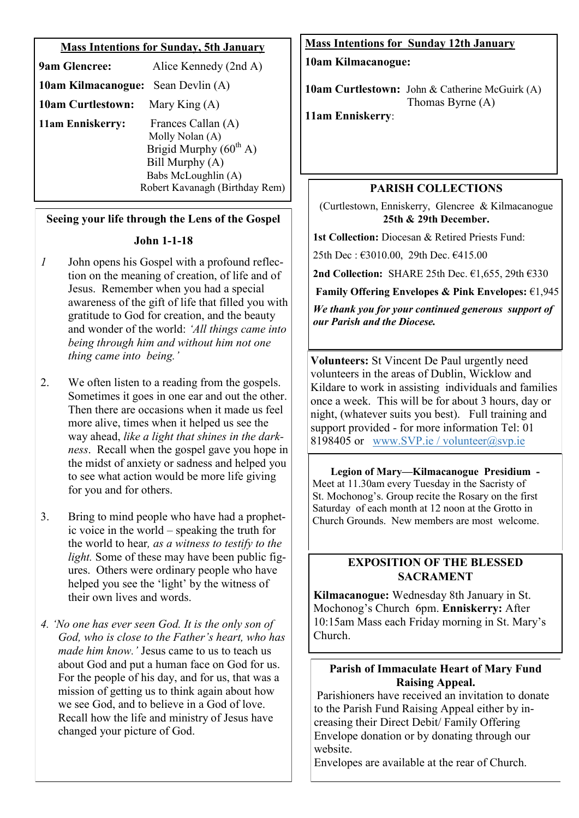## **Mass Intentions for Sunday, 5th January**

| <b>9am Glencree:</b>                      | Alice Kennedy (2nd A)          |
|-------------------------------------------|--------------------------------|
| <b>10am Kilmacanogue:</b> Sean Devlin (A) |                                |
| <b>10am Curtlestown:</b>                  | Mary King $(A)$                |
| 11am Enniskerry:                          | Frances Callan (A)             |
|                                           | Molly Nolan (A)                |
|                                           | Brigid Murphy $(60th A)$       |
| Bill Murphy (A)                           |                                |
|                                           | Babs McLoughlin (A)            |
|                                           | Robert Kavanagh (Birthday Rem) |

## **Seeing your life through the Lens of the Gospel**

## **John 1-1-18**

- *1* John opens his Gospel with a profound reflection on the meaning of creation, of life and of Jesus. Remember when you had a special awareness of the gift of life that filled you with gratitude to God for creation, and the beauty and wonder of the world: *'All things came into being through him and without him not one thing came into being.'*
- 2. We often listen to a reading from the gospels. Sometimes it goes in one ear and out the other. Then there are occasions when it made us feel more alive, times when it helped us see the way ahead, *like a light that shines in the darkness*. Recall when the gospel gave you hope in the midst of anxiety or sadness and helped you to see what action would be more life giving for you and for others.
- 3. Bring to mind people who have had a prophetic voice in the world – speaking the truth for the world to hear*, as a witness to testify to the light.* Some of these may have been public figures.Others were ordinary people who have helped you see the 'light' by the witness of their own lives and words.
- *4. 'No one has ever seen God. It is the only son of God, who is close to the Father's heart, who has made him know.'* Jesus came to us to teach us about God and put a human face on God for us. For the people of his day, and for us, that was a mission of getting us to think again about how we see God, and to believe in a God of love. Recall how the life and ministry of Jesus have changed your picture of God.

# **Mass Intentions for Sunday 12th January**

**10am Kilmacanogue:** 

**10am Curtlestown:** John & Catherine McGuirk (A) Thomas Byrne (A)

**11am Enniskerry**:

## **PARISH COLLECTIONS**

(Curtlestown, Enniskerry, Glencree & Kilmacanogue **25th & 29th December.**

**1st Collection:** Diocesan & Retired Priests Fund:

25th Dec : €3010.00, 29th Dec. €415.00

**2nd Collection:** SHARE 25th Dec. €1,655, 29th €330

**Family Offering Envelopes & Pink Envelopes:** €1,945

*We thank you for your continued generous support of our Parish and the Diocese.*

**Volunteers:** St Vincent De Paul urgently need volunteers in the areas of Dublin, Wicklow and Kildare to work in assisting individuals and families once a week. This will be for about 3 hours, day or night, (whatever suits you best). Full training and support provided - for more information Tel: 01 8198405 or [www.SVP.ie](https://l.facebook.com/l.php?u=http%3A%2F%2Fwww.SVP.ie%2F%3Ffbclid%3DIwAR2AzebNQjJ_KP-Z9FVukFyujB8nXzqOljiMH04fx4pStgAvGc-iDlBE-m0&h=AT3Ug_llf3KAOdYKaxT5ndYQVkXXvJgfgIVJAIvJzn8o3o_87eUDGtXEtybdqt6AQpaKjbaW8Vniy6OtER9Vp8Ts2NoEQ6ZXexRpywJzqhu-AFAjaig6vNusf6FroS) / [volunteer@svp.ie](mailto:volunteer@svp.ie)

**Legion of Mary—Kilmacanogue Presidium -** Meet at 11.30am every Tuesday in the Sacristy of St. Mochonog's. Group recite the Rosary on the first Saturday of each month at 12 noon at the Grotto in Church Grounds. New members are most welcome.

## **EXPOSITION OF THE BLESSED SACRAMENT**

**Kilmacanogue:** Wednesday 8th January in St. Mochonog's Church 6pm. **Enniskerry:** After 10:15am Mass each Friday morning in St. Mary's Church.

# **Parish of Immaculate Heart of Mary Fund Raising Appeal.**

Parishioners have received an invitation to donate to the Parish Fund Raising Appeal either by increasing their Direct Debit/ Family Offering Envelope donation or by donating through our website.

Envelopes are available at the rear of Church.